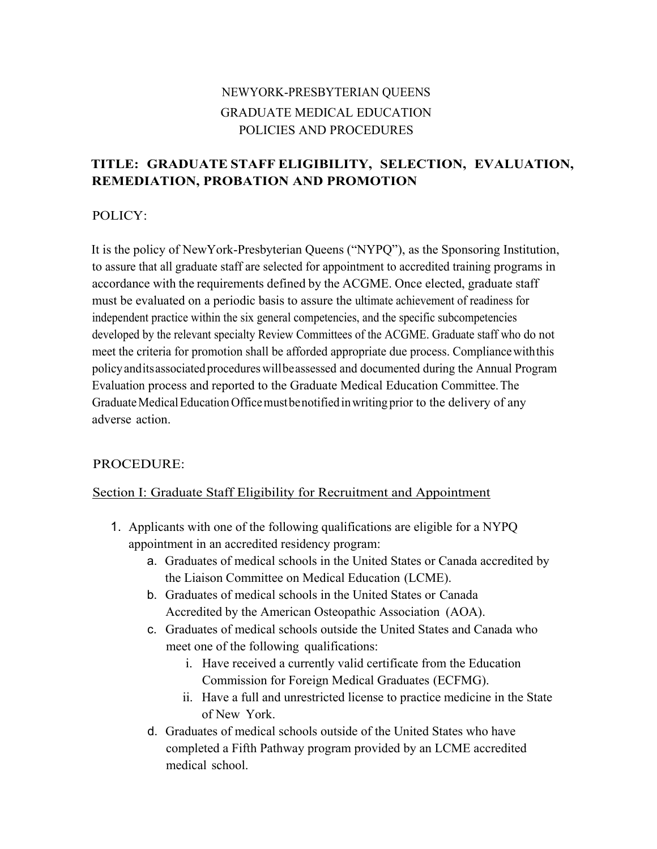# NEWYORK-PRESBYTERIAN QUEENS GRADUATE MEDICAL EDUCATION POLICIES AND PROCEDURES

## **TITLE: GRADUATE STAFF ELIGIBILITY, SELECTION, EVALUATION, REMEDIATION, PROBATION AND PROMOTION**

### POLICY:

It is the policy of NewYork-Presbyterian Queens ("NYPQ"), as the Sponsoring Institution, to assure that all graduate staff are selected for appointment to accredited training programs in accordance with the requirements defined by the ACGME. Once elected, graduate staff must be evaluated on a periodic basis to assure the ultimate achievement of readiness for independent practice within the six general competencies, and the specific subcompetencies developed by the relevant specialty Review Committees of the ACGME. Graduate staff who do not meet the criteria for promotion shall be afforded appropriate due process. Compliancewiththis policyanditsassociated procedures willbeassessed and documented during the Annual Program Evaluation process and reported to the Graduate Medical Education Committee.The GraduateMedicalEducationOfficemustbenotified inwriting prior to the delivery of any adverse action.

### PROCEDURE:

### Section I: Graduate Staff Eligibility for Recruitment and Appointment

- 1. Applicants with one of the following qualifications are eligible for a NYPQ appointment in an accredited residency program:
	- a. Graduates of medical schools in the United States or Canada accredited by the Liaison Committee on Medical Education (LCME).
	- b. Graduates of medical schools in the United States or Canada Accredited by the American Osteopathic Association (AOA).
	- c. Graduates of medical schools outside the United States and Canada who meet one of the following qualifications:
		- i. Have received a currently valid certificate from the Education Commission for Foreign Medical Graduates (ECFMG).
		- ii. Have a full and unrestricted license to practice medicine in the State of New York.
	- d. Graduates of medical schools outside of the United States who have completed a Fifth Pathway program provided by an LCME accredited medical school.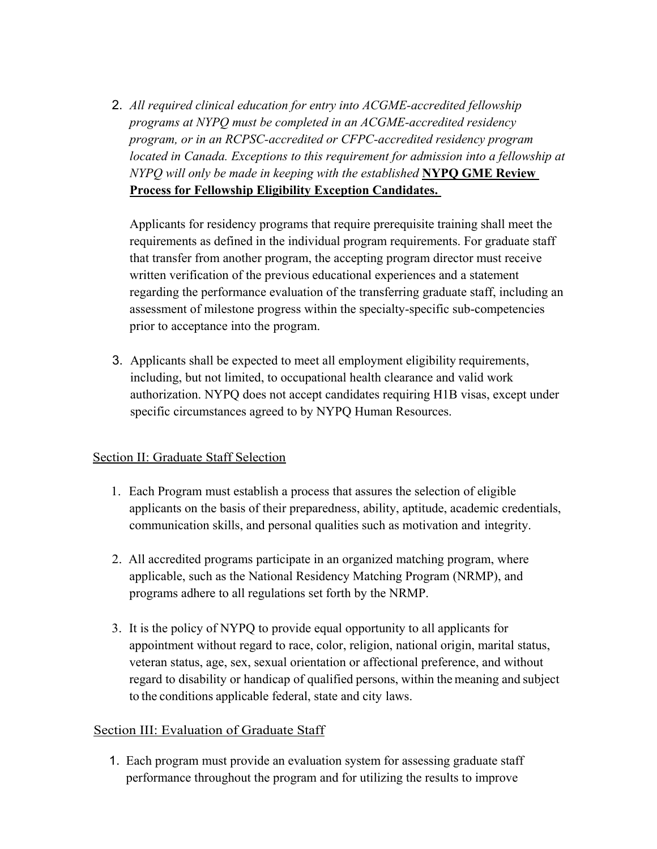2. *All required clinical education for entry into ACGME-accredited fellowship programs at NYPQ must be completed in an ACGME-accredited residency program, or in an RCPSC-accredited or CFPC-accredited residency program located in Canada. Exceptions to this requirement for admission into a fellowship at NYPQ will only be made in keeping with the established* **NYPQ GME Review Process for Fellowship Eligibility Exception Candidates.**

Applicants for residency programs that require prerequisite training shall meet the requirements as defined in the individual program requirements. For graduate staff that transfer from another program, the accepting program director must receive written verification of the previous educational experiences and a statement regarding the performance evaluation of the transferring graduate staff, including an assessment of milestone progress within the specialty-specific sub-competencies prior to acceptance into the program.

3. Applicants shall be expected to meet all employment eligibility requirements, including, but not limited, to occupational health clearance and valid work authorization. NYPQ does not accept candidates requiring H1B visas, except under specific circumstances agreed to by NYPQ Human Resources.

### Section II: Graduate Staff Selection

- 1. Each Program must establish a process that assures the selection of eligible applicants on the basis of their preparedness, ability, aptitude, academic credentials, communication skills, and personal qualities such as motivation and integrity.
- 2. All accredited programs participate in an organized matching program, where applicable, such as the National Residency Matching Program (NRMP), and programs adhere to all regulations set forth by the NRMP.
- 3. It is the policy of NYPQ to provide equal opportunity to all applicants for appointment without regard to race, color, religion, national origin, marital status, veteran status, age, sex, sexual orientation or affectional preference, and without regard to disability or handicap of qualified persons, within the meaning and subject to the conditions applicable federal, state and city laws.

#### Section III: Evaluation of Graduate Staff

1. Each program must provide an evaluation system for assessing graduate staff performance throughout the program and for utilizing the results to improve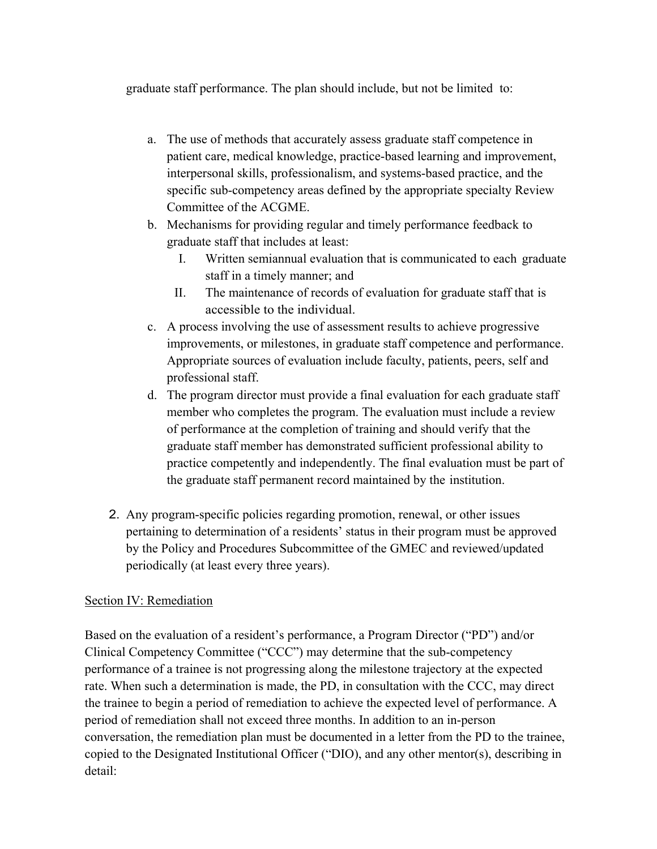graduate staff performance. The plan should include, but not be limited to:

- a. The use of methods that accurately assess graduate staff competence in patient care, medical knowledge, practice-based learning and improvement, interpersonal skills, professionalism, and systems-based practice, and the specific sub-competency areas defined by the appropriate specialty Review Committee of the ACGME.
- b. Mechanisms for providing regular and timely performance feedback to graduate staff that includes at least:
	- I. Written semiannual evaluation that is communicated to each graduate staff in a timely manner; and
	- II. The maintenance of records of evaluation for graduate staff that is accessible to the individual.
- c. A process involving the use of assessment results to achieve progressive improvements, or milestones, in graduate staff competence and performance. Appropriate sources of evaluation include faculty, patients, peers, self and professional staff.
- d. The program director must provide a final evaluation for each graduate staff member who completes the program. The evaluation must include a review of performance at the completion of training and should verify that the graduate staff member has demonstrated sufficient professional ability to practice competently and independently. The final evaluation must be part of the graduate staff permanent record maintained by the institution.
- 2. Any program-specific policies regarding promotion, renewal, or other issues pertaining to determination of a residents' status in their program must be approved by the Policy and Procedures Subcommittee of the GMEC and reviewed/updated periodically (at least every three years).

### Section IV: Remediation

Based on the evaluation of a resident's performance, a Program Director ("PD") and/or Clinical Competency Committee ("CCC") may determine that the sub-competency performance of a trainee is not progressing along the milestone trajectory at the expected rate. When such a determination is made, the PD, in consultation with the CCC, may direct the trainee to begin a period of remediation to achieve the expected level of performance. A period of remediation shall not exceed three months. In addition to an in-person conversation, the remediation plan must be documented in a letter from the PD to the trainee, copied to the Designated Institutional Officer ("DIO), and any other mentor(s), describing in detail: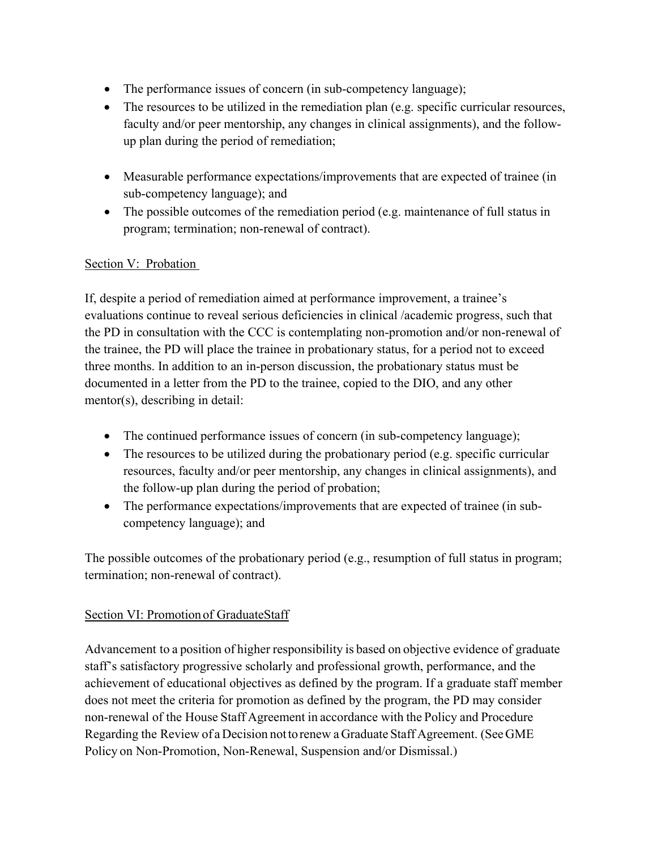- The performance issues of concern (in sub-competency language);
- The resources to be utilized in the remediation plan (e.g. specific curricular resources, faculty and/or peer mentorship, any changes in clinical assignments), and the followup plan during the period of remediation;
- Measurable performance expectations/improvements that are expected of trainee (in sub-competency language); and
- The possible outcomes of the remediation period (e.g. maintenance of full status in program; termination; non-renewal of contract).

### Section V: Probation

If, despite a period of remediation aimed at performance improvement, a trainee's evaluations continue to reveal serious deficiencies in clinical /academic progress, such that the PD in consultation with the CCC is contemplating non-promotion and/or non-renewal of the trainee, the PD will place the trainee in probationary status, for a period not to exceed three months. In addition to an in-person discussion, the probationary status must be documented in a letter from the PD to the trainee, copied to the DIO, and any other mentor(s), describing in detail:

- The continued performance issues of concern (in sub-competency language);
- The resources to be utilized during the probationary period (e.g. specific curricular resources, faculty and/or peer mentorship, any changes in clinical assignments), and the follow-up plan during the period of probation;
- The performance expectations/improvements that are expected of trainee (in subcompetency language); and

The possible outcomes of the probationary period (e.g., resumption of full status in program; termination; non-renewal of contract).

### Section VI: Promotion of GraduateStaff

Advancement to a position of higher responsibility is based on objective evidence of graduate staff's satisfactory progressive scholarly and professional growth, performance, and the achievement of educational objectives as defined by the program. If a graduate staff member does not meet the criteria for promotion as defined by the program, the PD may consider non-renewal of the House Staff Agreement in accordance with the Policy and Procedure Regarding the Review of a Decision nottorenew a Graduate Staff Agreement. (SeeGME Policy on Non-Promotion, Non-Renewal, Suspension and/or Dismissal.)